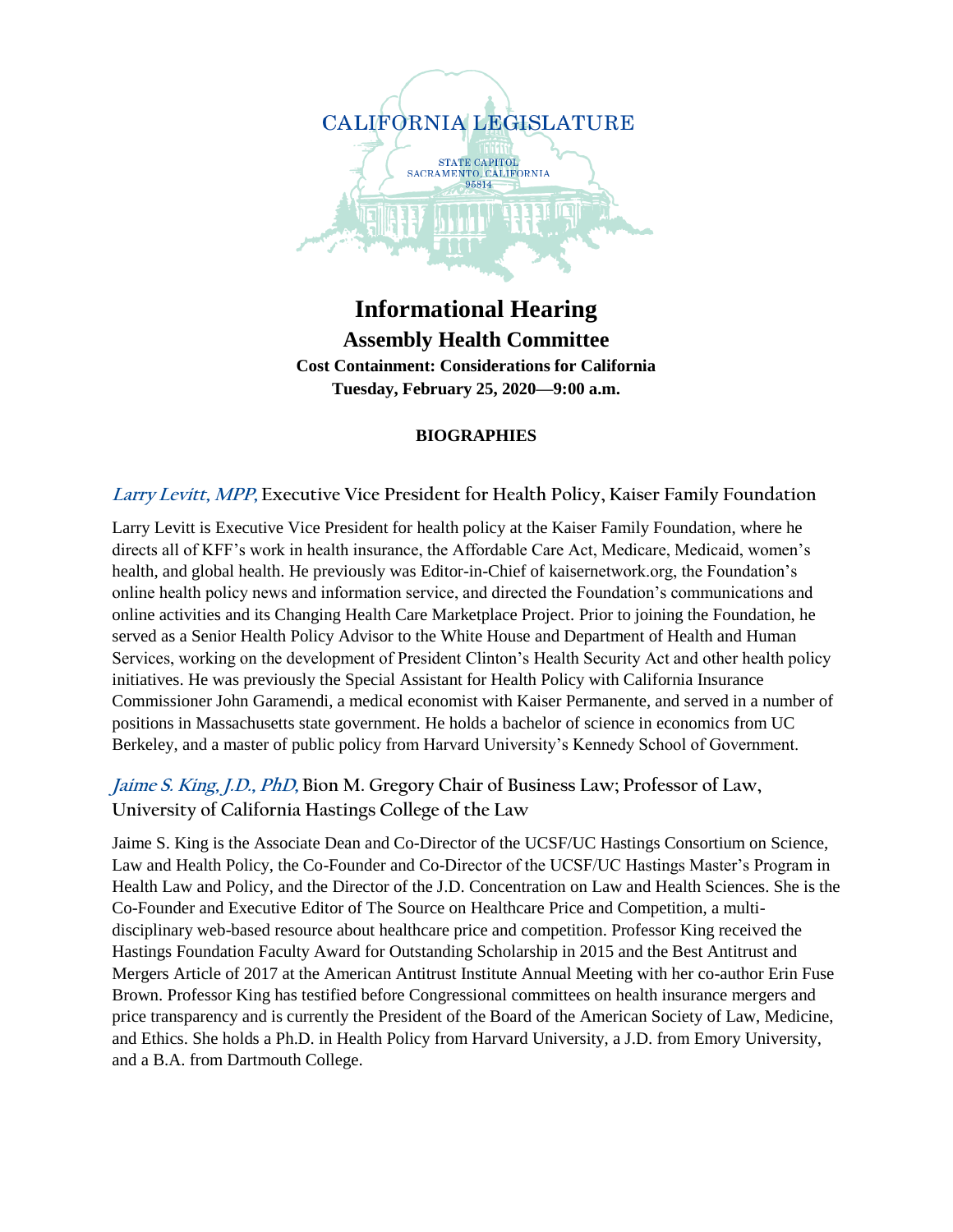

# **Informational Hearing Assembly Health Committee Cost Containment: Considerations for California Tuesday, February 25, 2020—9:00 a.m.**

#### **BIOGRAPHIES**

#### **Larry Levitt, MPP, Executive Vice President for Health Policy, Kaiser Family Foundation**

Larry Levitt is Executive Vice President for health policy at the Kaiser Family Foundation, where he directs all of KFF's work in health insurance, the Affordable Care Act, Medicare, Medicaid, women's health, and global health. He previously was Editor-in-Chief of kaisernetwork.org, the Foundation's online health policy news and information service, and directed the Foundation's communications and online activities and its Changing Health Care Marketplace Project. Prior to joining the Foundation, he served as a Senior Health Policy Advisor to the White House and Department of Health and Human Services, working on the development of President Clinton's Health Security Act and other health policy initiatives. He was previously the Special Assistant for Health Policy with California Insurance Commissioner John Garamendi, a medical economist with Kaiser Permanente, and served in a number of positions in Massachusetts state government. He holds a bachelor of science in economics from UC Berkeley, and a master of public policy from Harvard University's Kennedy School of Government.

#### **Jaime S. King, J.D., PhD, Bion M. Gregory Chair of Business Law; Professor of Law, University of California Hastings College of the Law**

Jaime S. King is the Associate Dean and Co-Director of the UCSF/UC Hastings Consortium on Science, Law and Health Policy, the Co-Founder and Co-Director of the UCSF/UC Hastings Master's Program in Health Law and Policy, and the Director of the J.D. Concentration on Law and Health Sciences. She is the Co-Founder and Executive Editor of The Source on Healthcare Price and Competition, a multidisciplinary web-based resource about healthcare price and competition. Professor King received the Hastings Foundation Faculty Award for Outstanding Scholarship in 2015 and the Best Antitrust and Mergers Article of 2017 at the American Antitrust Institute Annual Meeting with her co-author Erin Fuse Brown. Professor King has testified before Congressional committees on health insurance mergers and price transparency and is currently the President of the Board of the American Society of Law, Medicine, and Ethics. She holds a Ph.D. in Health Policy from Harvard University, a J.D. from Emory University, and a B.A. from Dartmouth College.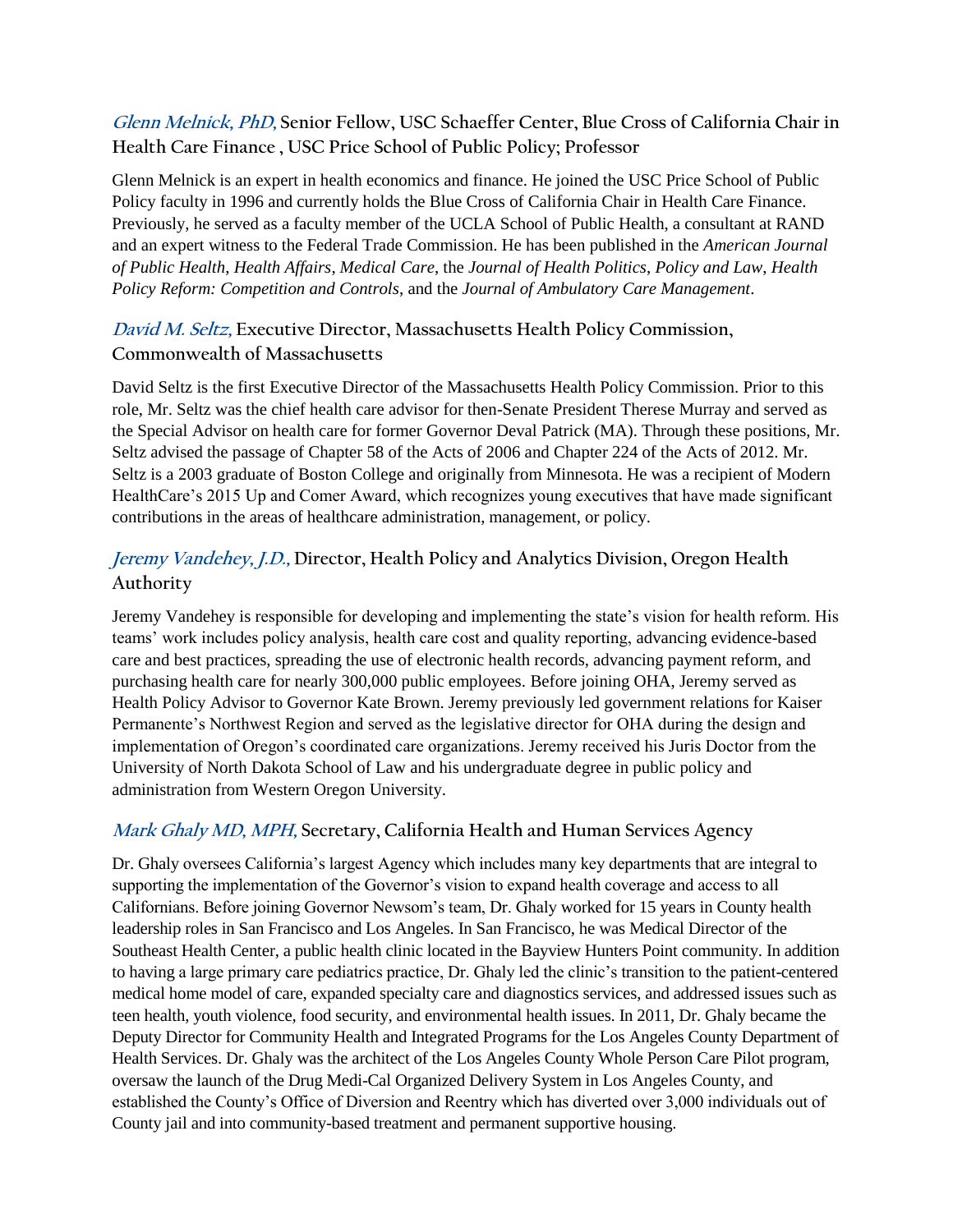**Glenn Melnick, PhD, Senior Fellow, USC Schaeffer Center, Blue Cross of California Chair in Health Care Finance , USC Price School of Public Policy; Professor**

Glenn Melnick is an expert in health economics and finance. He joined the USC Price School of Public Policy faculty in 1996 and currently holds the Blue Cross of California Chair in Health Care Finance. Previously, he served as a faculty member of the UCLA School of Public Health, a consultant at RAND and an expert witness to the Federal Trade Commission. He has been published in the *American Journal of Public Health*, *Health Affairs*, *Medical Care*, the *Journal of Health Politics*, *Policy and Law*, *Health Policy Reform: Competition and Controls*, and the *Journal of Ambulatory Care Management*.

## **David M. Seltz, Executive Director, Massachusetts Health Policy Commission, Commonwealth of Massachusetts**

David Seltz is the first Executive Director of the Massachusetts Health Policy Commission. Prior to this role, Mr. Seltz was the chief health care advisor for then-Senate President Therese Murray and served as the Special Advisor on health care for former Governor Deval Patrick (MA). Through these positions, Mr. Seltz advised the passage of Chapter 58 of the Acts of 2006 and Chapter 224 of the Acts of 2012. Mr. Seltz is a 2003 graduate of Boston College and originally from Minnesota. He was a recipient of Modern HealthCare's 2015 Up and Comer Award, which recognizes young executives that have made significant contributions in the areas of healthcare administration, management, or policy.

# **Jeremy Vandehey, J.D., Director, Health Policy and Analytics Division, Oregon Health Authority**

Jeremy Vandehey is responsible for developing and implementing the state's vision for health reform. His teams' work includes policy analysis, health care cost and quality reporting, advancing evidence-based care and best practices, spreading the use of electronic health records, advancing payment reform, and purchasing health care for nearly 300,000 public employees. Before joining OHA, Jeremy served as Health Policy Advisor to Governor Kate Brown. Jeremy previously led government relations for Kaiser Permanente's Northwest Region and served as the legislative director for OHA during the design and implementation of Oregon's coordinated care organizations. Jeremy received his Juris Doctor from the University of North Dakota School of Law and his undergraduate degree in public policy and administration from Western Oregon University.

### **Mark Ghaly MD, MPH, Secretary, California Health and Human Services Agency**

Dr. Ghaly oversees California's largest Agency which includes many key departments that are integral to supporting the implementation of the Governor's vision to expand health coverage and access to all Californians. Before joining Governor Newsom's team, Dr. Ghaly worked for 15 years in County health leadership roles in San Francisco and Los Angeles. In San Francisco, he was Medical Director of the Southeast Health Center, a public health clinic located in the Bayview Hunters Point community. In addition to having a large primary care pediatrics practice, Dr. Ghaly led the clinic's transition to the patient-centered medical home model of care, expanded specialty care and diagnostics services, and addressed issues such as teen health, youth violence, food security, and environmental health issues. In 2011, Dr. Ghaly became the Deputy Director for Community Health and Integrated Programs for the Los Angeles County Department of Health Services. Dr. Ghaly was the architect of the Los Angeles County Whole Person Care Pilot program, oversaw the launch of the Drug Medi-Cal Organized Delivery System in Los Angeles County, and established the County's Office of Diversion and Reentry which has diverted over 3,000 individuals out of County jail and into community-based treatment and permanent supportive housing.